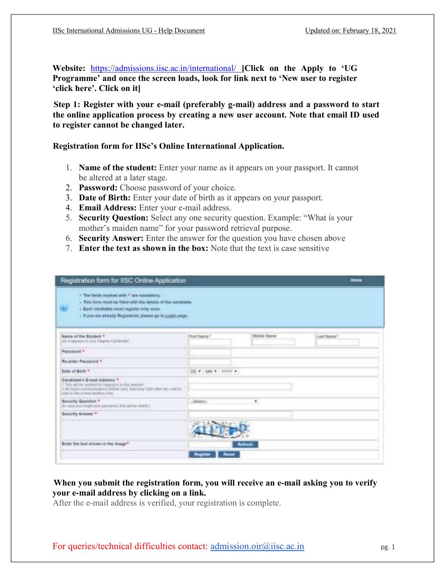Website: https://admissions.iisc.ac.in/international/ [Click on the Apply to 'UG Programme' and once the screen loads, look for link next to 'New user to register 'click here'. Click on it]

Step 1: Register with your e-mail (preferably g-mail) address and a password to start the online application process by creating a new user account. Note that email ID used to register cannot be changed later.

## Registration form for IISc's Online International Application.

- 1. Name of the student: Enter your name as it appears on your passport. It cannot be altered at a later stage.
- 2. Password: Choose password of your choice.
- 3. Date of Birth: Enter your date of birth as it appears on your passport.
- 4. Email Address: Enter your e-mail address.
- 5. Security Question: Select any one security question. Example: "What is your mother's maiden name" for your password retrieval purpose.
- 6. Security Answer: Enter the answer for the question you have chosen above
- 7. Enter the text as shown in the box: Note that the text is case sensitive

| Registration form for IISC Online Application                                                                                                                                                                                                                         |                        |                      | Hame       |
|-----------------------------------------------------------------------------------------------------------------------------------------------------------------------------------------------------------------------------------------------------------------------|------------------------|----------------------|------------|
| - The fields marked with 7 are mandatory.<br>- This have must be filled with the details of the candidate.<br>w<br>- Kield significants insist register only small.<br>- If you are stready theplotered, pressue go to Lught pege.<br>the contract of the contract of |                        |                      |            |
| Name of the Student *<br>in a support it you fingte Cambiant                                                                                                                                                                                                          | Foul Name*             | <b>Middle Nation</b> | List Name? |
| <b>Password</b> <sup>F</sup>                                                                                                                                                                                                                                          |                        |                      |            |
| <b>Re-arter Passwort</b> *                                                                                                                                                                                                                                            |                        |                      |            |
| Data of Blow, 9                                                                                                                                                                                                                                                       | $(0 + 444 + 1777 + 1)$ |                      |            |
| Candidate's Entail Address."<br>13 Stati AAS for particular fled degrees on to this, sections.<br>3. At KAUK contribuing door (Pulled card, Nikelines Californies at 2 will be<br>and in this is stod whitnes one                                                     |                        |                      |            |
| Seniority Question *<br>by Lake you hidel sind percent for white metal.                                                                                                                                                                                               | $-$ Solid Mills        | ٠.                   |            |
| <b>Decority Annual *</b>                                                                                                                                                                                                                                              |                        |                      |            |
| Brief the fact shown in the image*                                                                                                                                                                                                                                    |                        | <b>Retirect:</b>     |            |
|                                                                                                                                                                                                                                                                       | <b>Register Renat</b>  |                      |            |

# When you submit the registration form, you will receive an e-mail asking you to verify your e-mail address by clicking on a link.

After the e-mail address is verified, your registration is complete.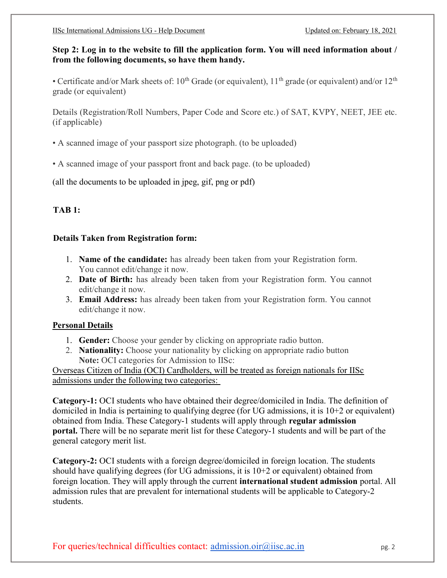## Step 2: Log in to the website to fill the application form. You will need information about / from the following documents, so have them handy.

• Certificate and/or Mark sheets of:  $10^{th}$  Grade (or equivalent),  $11^{th}$  grade (or equivalent) and/or  $12^{th}$ grade (or equivalent)

Details (Registration/Roll Numbers, Paper Code and Score etc.) of SAT, KVPY, NEET, JEE etc. (if applicable)

- A scanned image of your passport size photograph. (to be uploaded)
- A scanned image of your passport front and back page. (to be uploaded)

(all the documents to be uploaded in jpeg, gif, png or pdf)

# TAB 1:

## Details Taken from Registration form:

- 1. Name of the candidate: has already been taken from your Registration form. You cannot edit/change it now.
- 2. Date of Birth: has already been taken from your Registration form. You cannot edit/change it now.
- 3. Email Address: has already been taken from your Registration form. You cannot edit/change it now.

## Personal Details

- 1. Gender: Choose your gender by clicking on appropriate radio button.
- 2. **Nationality:** Choose your nationality by clicking on appropriate radio button Note: OCI categories for Admission to IISc:

Overseas Citizen of India (OCI) Cardholders, will be treated as foreign nationals for IISc admissions under the following two categories:

Category-1: OCI students who have obtained their degree/domiciled in India. The definition of domiciled in India is pertaining to qualifying degree (for UG admissions, it is 10+2 or equivalent) obtained from India. These Category-1 students will apply through regular admission portal. There will be no separate merit list for these Category-1 students and will be part of the general category merit list.

Category-2: OCI students with a foreign degree/domiciled in foreign location. The students should have qualifying degrees (for UG admissions, it is 10+2 or equivalent) obtained from foreign location. They will apply through the current international student admission portal. All admission rules that are prevalent for international students will be applicable to Category-2 students.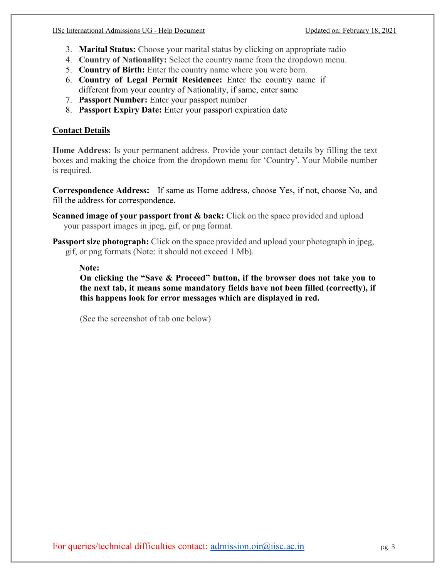- 3. Marital Status: Choose your marital status by clicking on appropriate radio
- 4. Country of Nationality: Select the country name from the dropdown menu.
- 5. Country of Birth: Enter the country name where you were born.
- 6. Country of Legal Permit Residence: Enter the country name if different from your country of Nationality, if same, enter same
- 7. Passport Number: Enter your passport number
- 8. Passport Expiry Date: Enter your passport expiration date

# Contact Details

Home Address: Is your permanent address. Provide your contact details by filling the text boxes and making the choice from the dropdown menu for 'Country'. Your Mobile number is required.

Correspondence Address: If same as Home address, choose Yes, if not, choose No, and fill the address for correspondence.

- Scanned image of your passport front & back: Click on the space provided and upload your passport images in jpeg, gif, or png format.
- Passport size photograph: Click on the space provided and upload your photograph in jpeg, gif, or png formats (Note: it should not exceed 1 Mb).

## Note:

On clicking the "Save & Proceed" button, if the browser does not take you to the next tab, it means some mandatory fields have not been filled (correctly), if this happens look for error messages which are displayed in red.

(See the screenshot of tab one below)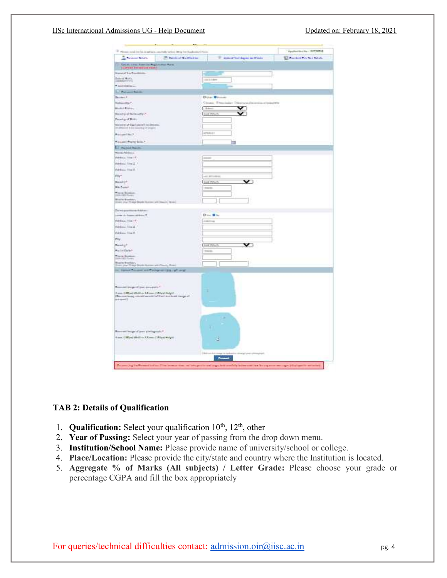#### IISc International Admissions UG - Help Document Updated on: February 18, 2021



## TAB 2: Details of Qualification

- 1. **Qualification:** Select your qualification  $10^{th}$ ,  $12^{th}$ , other
- 2. Year of Passing: Select your year of passing from the drop down menu.
- 3. Institution/School Name: Please provide name of university/school or college.
- 4. Place/Location: Please provide the city/state and country where the Institution is located.
- 5. Aggregate % of Marks (All subjects) / Letter Grade: Please choose your grade or percentage CGPA and fill the box appropriately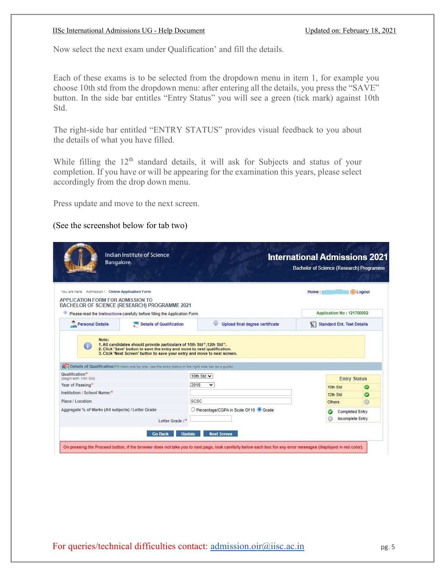#### IISc International Admissions UG - Help Document Updated on: February 18, 2021

Now select the next exam under Qualification' and fill the details.

Each of these exams is to be selected from the dropdown menu in item 1, for example you choose 10th std from the dropdown menu: after entering all the details, you press the "SAVE" button. In the side bar entitles "Entry Status" you will see a green (tick mark) against 10th Std.

The right-side bar entitled "ENTRY STATUS" provides visual feedback to you about the details of what you have filled.

While filling the 12<sup>th</sup> standard details, it will ask for Subjects and status of your completion. If you have or will be appearing for the examination this years, please select accordingly from the drop down menu.

Press update and move to the next screen.

(See the screenshot below for tab two)

|                                                                                        | Bangalore.                                                                                                                                                                                                                                                                                                                               |                                        | <b>International Admissions 2021</b><br>Bachelor of Science (Research) Programme |                                   |              |
|----------------------------------------------------------------------------------------|------------------------------------------------------------------------------------------------------------------------------------------------------------------------------------------------------------------------------------------------------------------------------------------------------------------------------------------|----------------------------------------|----------------------------------------------------------------------------------|-----------------------------------|--------------|
| You are here: Admission \ Online Application Form<br>APPLICATION FORM FOR ADMISSION TO | BACHELOR OF SCIENCE (RESEARCH) PROGRAMME 2021                                                                                                                                                                                                                                                                                            |                                        | Home                                                                             |                                   | (U) Logout   |
| ω                                                                                      | Please read the Instructions carefully before filling the Application Form.                                                                                                                                                                                                                                                              |                                        |                                                                                  | Application No: 121700002         |              |
| <b>Personal Details</b>                                                                | <b>Details of Qualification</b>                                                                                                                                                                                                                                                                                                          | Upload final degree certificate        | X.                                                                               | <b>Standard Ent. Test Details</b> |              |
| 60                                                                                     | 1. All candidates should provide particulars of 10th Std*, 12th Std*.<br>2. Click 'Save' button to save the entry and move to next qualification.<br>3. Clcik 'Next Screen' button to save your entry and move to next screen.<br>Details of Qualification (Fill them one by one, use the entry status in the right side bar as a guide) |                                        |                                                                                  |                                   |              |
|                                                                                        |                                                                                                                                                                                                                                                                                                                                          | 10th Std v                             |                                                                                  |                                   |              |
| Qualification*<br>(Begin with 10th Std)<br>Year of Passing*                            |                                                                                                                                                                                                                                                                                                                                          | 2018<br>v                              |                                                                                  | <b>Entry Status</b>               |              |
| Institution / School Name:*                                                            |                                                                                                                                                                                                                                                                                                                                          |                                        |                                                                                  | 10th Std<br>12th Std              | ◎            |
| Place / Location                                                                       |                                                                                                                                                                                                                                                                                                                                          | SCSC                                   |                                                                                  | <b>Others</b>                     | ◎<br>$\odot$ |
| Aggregate % of Marks (All subjects) / Letter Grade                                     |                                                                                                                                                                                                                                                                                                                                          | O Percentage/CGPA in Scale Of 10 Grade |                                                                                  | <b>Completed Entry</b>            |              |
|                                                                                        | Letter Grade:*                                                                                                                                                                                                                                                                                                                           |                                        |                                                                                  | Incomplete Entry                  |              |

For queries/technical difficulties contact:  $\frac{admission.oir@iisc.ac.in}{pg. 5}$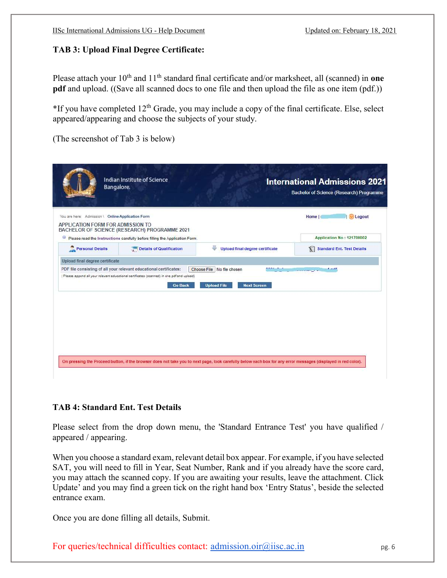## TAB 3: Upload Final Degree Certificate:

Please attach your  $10^{th}$  and  $11^{th}$  standard final certificate and/or marksheet, all (scanned) in one pdf and upload. ((Save all scanned docs to one file and then upload the file as one item (pdf.))

 $*$ If you have completed 12<sup>th</sup> Grade, you may include a copy of the final certificate. Else, select appeared/appearing and choose the subjects of your study.

(The screenshot of Tab 3 is below)

| You are here: Admission \ Online Application Form |                                                                                                                                                                                     |                                                                          | Home  <br><b>U</b> Logout               |
|---------------------------------------------------|-------------------------------------------------------------------------------------------------------------------------------------------------------------------------------------|--------------------------------------------------------------------------|-----------------------------------------|
| APPLICATION FORM FOR ADMISSION TO                 | BACHELOR OF SCIENCE (RESEARCH) PROGRAMME 2021                                                                                                                                       |                                                                          |                                         |
| ω                                                 | Please read the Instructions carefully before filling the Application Form.                                                                                                         |                                                                          | Application No: 121700002               |
| <b>Personal Details</b>                           | Details of Qualification                                                                                                                                                            | Upload final degree certificate                                          | Y.<br><b>Standard Ent. Test Details</b> |
| Upload final degree certificate                   |                                                                                                                                                                                     |                                                                          |                                         |
|                                                   | PDF file consisting of all your relevant educational certificates:<br>( Please append all your relevant educational certificates (scanned) in one pdf and upload)<br><b>Go Back</b> | Choose File   No file chosen<br><b>Upload File</b><br><b>Next Screen</b> | $A = A$<br><b>Service</b>               |
|                                                   |                                                                                                                                                                                     |                                                                          |                                         |
|                                                   |                                                                                                                                                                                     |                                                                          |                                         |
|                                                   |                                                                                                                                                                                     |                                                                          |                                         |
|                                                   |                                                                                                                                                                                     |                                                                          |                                         |
|                                                   |                                                                                                                                                                                     |                                                                          |                                         |

## TAB 4: Standard Ent. Test Details

Please select from the drop down menu, the 'Standard Entrance Test' you have qualified / appeared / appearing.

When you choose a standard exam, relevant detail box appear. For example, if you have selected SAT, you will need to fill in Year, Seat Number, Rank and if you already have the score card, you may attach the scanned copy. If you are awaiting your results, leave the attachment. Click Update' and you may find a green tick on the right hand box 'Entry Status', beside the selected entrance exam.

Once you are done filling all details, Submit.

For queries/technical difficulties contact:  $\frac{admission.oir@iisc.ac.in}{q}$  pg. 6